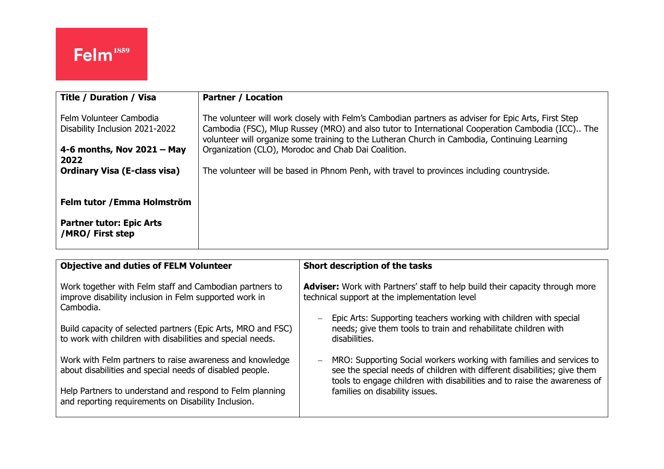| <b>Title / Duration / Visa</b>                            | <b>Partner / Location</b>                                                                                                                                                                                                                                                                                |
|-----------------------------------------------------------|----------------------------------------------------------------------------------------------------------------------------------------------------------------------------------------------------------------------------------------------------------------------------------------------------------|
| Felm Volunteer Cambodia<br>Disability Inclusion 2021-2022 | The volunteer will work closely with Felm's Cambodian partners as adviser for Epic Arts, First Step<br>Cambodia (FSC), Mlup Russey (MRO) and also tutor to International Cooperation Cambodia (ICC) The<br>volunteer will organize some training to the Lutheran Church in Cambodia, Continuing Learning |
| 4-6 months, Nov $2021 - May$                              | Organization (CLO), Morodoc and Chab Dai Coalition.                                                                                                                                                                                                                                                      |
| 2022                                                      |                                                                                                                                                                                                                                                                                                          |
| <b>Ordinary Visa (E-class visa)</b>                       | The volunteer will be based in Phnom Penh, with travel to provinces including countryside.                                                                                                                                                                                                               |
|                                                           |                                                                                                                                                                                                                                                                                                          |
| Felm tutor / Emma Holmström                               |                                                                                                                                                                                                                                                                                                          |
| <b>Partner tutor: Epic Arts</b><br>/MRO/ First step       |                                                                                                                                                                                                                                                                                                          |

| <b>Objective and duties of FELM Volunteer</b>                                                                                  | Short description of the tasks                                                                                                                                                                                                      |
|--------------------------------------------------------------------------------------------------------------------------------|-------------------------------------------------------------------------------------------------------------------------------------------------------------------------------------------------------------------------------------|
| Work together with Felm staff and Cambodian partners to<br>improve disability inclusion in Felm supported work in<br>Cambodia. | <b>Adviser:</b> Work with Partners' staff to help build their capacity through more<br>technical support at the implementation level                                                                                                |
| Build capacity of selected partners (Epic Arts, MRO and FSC)<br>to work with children with disabilities and special needs.     | Epic Arts: Supporting teachers working with children with special<br>$\overline{\phantom{0}}$<br>needs; give them tools to train and rehabilitate children with<br>disabilities.                                                    |
| Work with Felm partners to raise awareness and knowledge<br>about disabilities and special needs of disabled people.           | MRO: Supporting Social workers working with families and services to<br>$-$<br>see the special needs of children with different disabilities; give them<br>tools to engage children with disabilities and to raise the awareness of |
| Help Partners to understand and respond to Felm planning<br>and reporting requirements on Disability Inclusion.                | families on disability issues.                                                                                                                                                                                                      |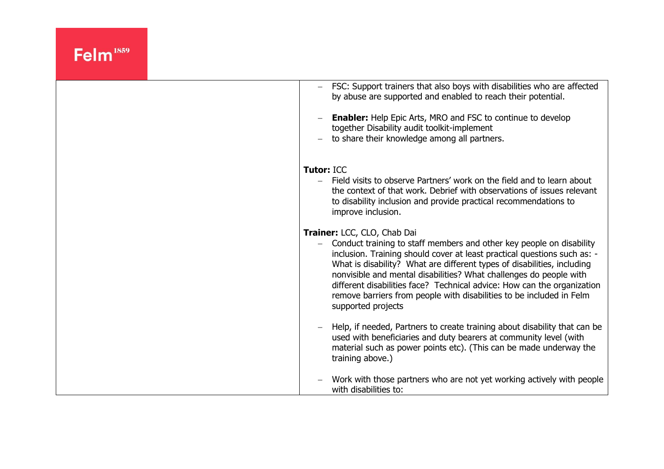| FSC: Support trainers that also boys with disabilities who are affected<br>by abuse are supported and enabled to reach their potential.                                                                                                                                                                                                                                                                                                                                                                   |
|-----------------------------------------------------------------------------------------------------------------------------------------------------------------------------------------------------------------------------------------------------------------------------------------------------------------------------------------------------------------------------------------------------------------------------------------------------------------------------------------------------------|
| <b>Enabler:</b> Help Epic Arts, MRO and FSC to continue to develop<br>together Disability audit toolkit-implement<br>to share their knowledge among all partners.                                                                                                                                                                                                                                                                                                                                         |
| <b>Tutor: ICC</b><br>Field visits to observe Partners' work on the field and to learn about<br>the context of that work. Debrief with observations of issues relevant<br>to disability inclusion and provide practical recommendations to<br>improve inclusion.                                                                                                                                                                                                                                           |
| Trainer: LCC, CLO, Chab Dai<br>Conduct training to staff members and other key people on disability<br>inclusion. Training should cover at least practical questions such as: -<br>What is disability? What are different types of disabilities, including<br>nonvisible and mental disabilities? What challenges do people with<br>different disabilities face? Technical advice: How can the organization<br>remove barriers from people with disabilities to be included in Felm<br>supported projects |
| Help, if needed, Partners to create training about disability that can be<br>used with beneficiaries and duty bearers at community level (with<br>material such as power points etc). (This can be made underway the<br>training above.)                                                                                                                                                                                                                                                                  |
| Work with those partners who are not yet working actively with people<br>with disabilities to:                                                                                                                                                                                                                                                                                                                                                                                                            |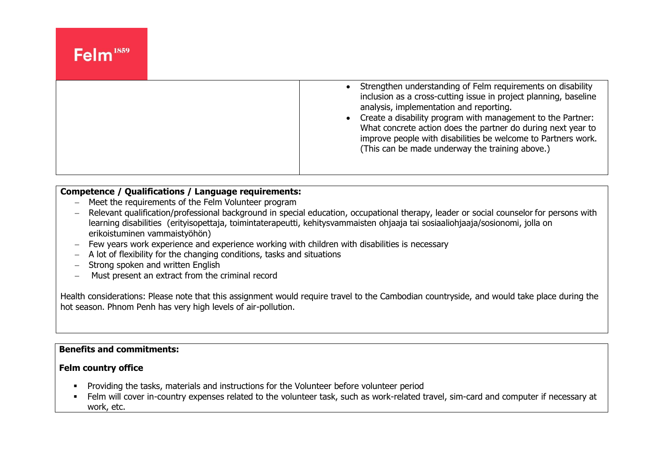| Strengthen understanding of Felm requirements on disability<br>inclusion as a cross-cutting issue in project planning, baseline<br>analysis, implementation and reporting.<br>• Create a disability program with management to the Partner:<br>What concrete action does the partner do during next year to<br>improve people with disabilities be welcome to Partners work.<br>(This can be made underway the training above.) |
|---------------------------------------------------------------------------------------------------------------------------------------------------------------------------------------------------------------------------------------------------------------------------------------------------------------------------------------------------------------------------------------------------------------------------------|
|                                                                                                                                                                                                                                                                                                                                                                                                                                 |

## **Competence / Qualifications / Language requirements:**

- − Meet the requirements of the Felm Volunteer program
- − Relevant qualification/professional background in special education, occupational therapy, leader or social counselor for persons with learning disabilities (erityisopettaja, toimintaterapeutti, kehitysvammaisten ohjaaja tai sosiaaliohjaaja/sosionomi, jolla on erikoistuminen vammaistyöhön)
- − Few years work experience and experience working with children with disabilities is necessary
- − A lot of flexibility for the changing conditions, tasks and situations
- − Strong spoken and written English
- − Must present an extract from the criminal record

Health considerations: Please note that this assignment would require travel to the Cambodian countryside, and would take place during the hot season. Phnom Penh has very high levels of air-pollution.

### **Benefits and commitments:**

#### **Felm country office**

- **•** Providing the tasks, materials and instructions for the Volunteer before volunteer period
- **EXPEDENT INTER 10 FERM** will cover in-country expenses related to the volunteer task, such as work-related travel, sim-card and computer if necessary at work, etc.